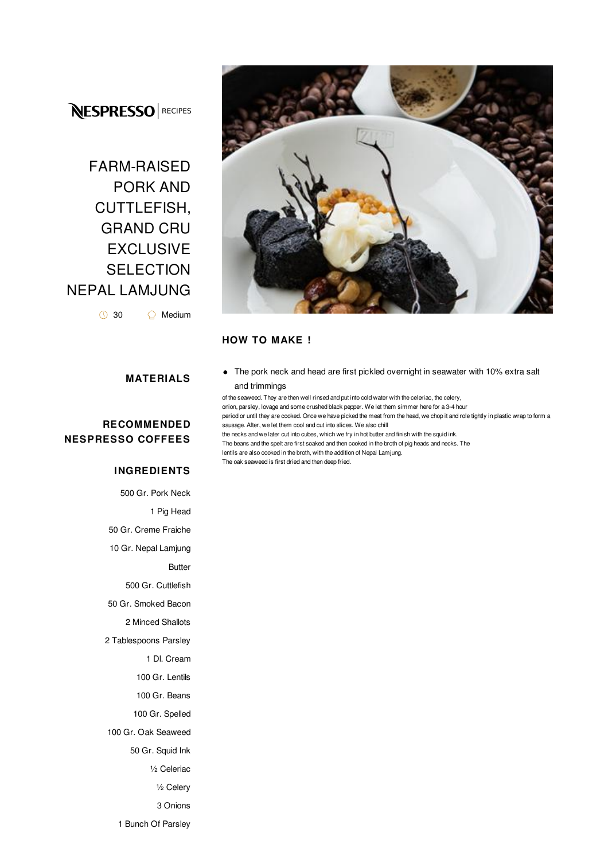## **NESPRESSO** RECIPES

# FARM-RAISED PORK AND CUTTLEFISH, GRAND CRU EXCLUSIVE **SELECTION** NEPAL LAMJUNG

◯ 30 

<del></del> Medium

#### **MATERIALS**

#### **RECOMMENDED NESPRESSO COFFEES**

#### **INGREDIENTS**

 Gr. Pork Neck 1 Pig Head Gr. Creme Fraiche Gr. Nepal Lamjung Butter Gr. Cuttlefish Gr. Smoked Bacon Minced Shallots Tablespoons Parsley Dl. Cream Gr. Lentils Gr. Beans Gr. Spelled Gr. Oak Seaweed Gr. Squid Ink ½ Celeriac ½ Celery 3 Onions Bunch Of Parsley



#### **HOW TO MAKE !**

The pork neck and head are first pickled overnight in seawater with 10% extra salt and trimmings

of the seaweed. They are then well rinsed and put into cold water with the celeriac, the celery, onion, parsley, lovage and some crushed black pepper. We let them simmer here for a 3-4 hour period or until they are cooked. Once we have picked the meat from the head, we chop it and role tightly in plastic wrap to form a sausage. After, we let them cool and cut into slices. We also chill the necks and we later cut into cubes, which we fry in hot butter and finish with the squid ink. The beans and the spelt are first soaked and then cooked in the broth of pig heads and necks. The lentils are also cooked in the broth, with the addition of Nepal Lamjung. The oak seaweed is first dried and then deep fried.